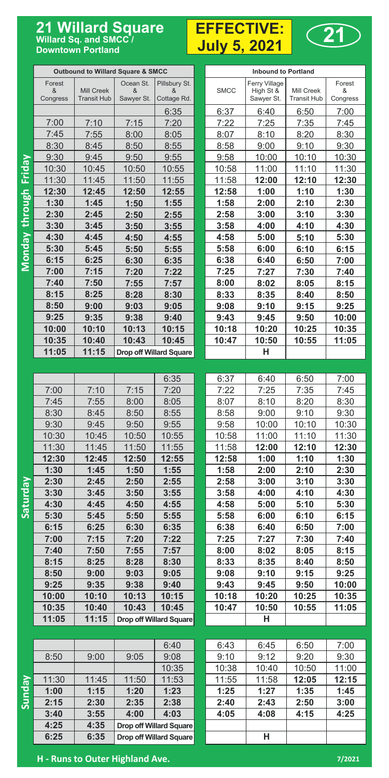## **21 Willard Square** EFFECTIVE: 21 Willard Square<br>Willard Sq. and SMCC/ **Downtown Portland**

## **EFFECTIVE: July 5, 2021**



|                       | <b>Outbound to Willard Square &amp; SMCC</b> |                           |                 |                         | <b>Inbound to Portland</b> |                         |                                  |               |  |
|-----------------------|----------------------------------------------|---------------------------|-----------------|-------------------------|----------------------------|-------------------------|----------------------------------|---------------|--|
|                       | Forest                                       | Mill Creek<br>Transit Hub | Ocean St.       | Pillsbury St.           |                            | Ferry Village           |                                  | Forest        |  |
|                       | &<br>Congress                                |                           | &<br>Sawyer St. | &<br>Cottage Rd.        | <b>SMCC</b>                | High St &<br>Sawyer St. | Mill Creek<br><b>Transit Hub</b> | &<br>Congress |  |
|                       |                                              |                           |                 | 6:35                    | 6:37                       | 6:40                    | 6:50                             | 7:00          |  |
|                       | 7:00                                         | 7:10                      | 7:15            | <u>7:20</u>             | 7:22                       | 7:25                    | <u>7:35</u>                      | 7:45          |  |
|                       | 7:45                                         | 7:55                      | <u>8:00</u>     | 8:05                    | <u>8:07</u>                | 8:10                    | 8:20                             | 8:30          |  |
|                       | 8:30                                         | 8:45                      | <u>8:50</u>     | 8:55                    | <u>8:58</u>                | 9:00                    | <u>9:10</u>                      | <u>9:30</u>   |  |
|                       | 9:30                                         | 9:45                      | 9:50            | 9:55                    | <u>9:58</u>                | 10:00                   | 10:10                            | <u> 10:30</u> |  |
|                       | 10:30                                        | 10:45                     | 10:50           | <u>10:55</u>            | <u> 10:58</u>              | <u> 11:00</u>           | <u> 11:10</u>                    | <u> 11:30</u> |  |
|                       | 11:30                                        | 11:45                     | 11:50           | <u>11:55</u>            | <u> 11:58</u>              | 12:00                   | <u> 12:10</u>                    | <u> 12:30</u> |  |
|                       | 12:30                                        | 12:45                     | <u> 12:50</u>   | 12:55                   | <u> 12:58</u>              | <u>1:00</u>             | <u>1:10</u>                      | <u>1:30</u>   |  |
|                       | 1:30                                         | 1:45                      | 1:50            | 1:55                    | <u>1:58</u>                | 2:00                    | <u>2:10</u>                      | <u>2:30</u>   |  |
|                       | 2:30                                         | 2:45                      | <u>2:50</u>     | <u>2:55</u>             | 2:58                       | 3:00                    | <u>3:10</u>                      | <u>3:30</u>   |  |
| Monday through Friday | 3:30                                         | 3:45                      | 3:50            | <u>3:55</u>             | 3:58                       | <u>4:00</u>             | <u>4:10</u>                      | 4:30          |  |
|                       | 4:30                                         | 4:45                      | <u>4:50</u>     | 4:55                    | 4:58                       | 5:00                    | 5:10                             | <u>5:30</u>   |  |
|                       | 5:30                                         | 5:45                      | 5:50            | 5:55                    | 5:58                       | 6:00                    | 6:10                             | 6:15          |  |
|                       | 6:15                                         | 6:25                      | 6:30            | 6:35                    | 6:38                       | 6:40                    | 6:50                             | 7:00          |  |
|                       | 7:00                                         | 7:15                      | 7:20            | 7:22                    | 7:25                       | 7:27                    | 7:30                             | 7:40          |  |
|                       | 7:40                                         | 7:50                      | <u>7:55</u>     | 7:57                    | 8:00                       | <u>8:02</u>             | 8:05                             | 8:15          |  |
|                       | 8:15                                         | 8:25                      | 8:28            | 8:30                    | 8:33                       | 8:35                    | 8:40                             | 8:50          |  |
|                       | 8:50                                         | 9:00                      | 9:03            | 9:05                    | 9:08                       | 9:10                    | 9:15                             | 9:25          |  |
|                       | 9:25                                         | 9:35                      | 9:38            | 9:40                    | 9:43                       | 9:45                    | 9:50                             | 10:00         |  |
|                       | 10:00                                        | 10:10                     | 10:13           | 10:15                   | 10:18                      | 10:20                   | 10:25                            | 10:35         |  |
|                       | 10:35                                        | 10:40                     | 10:43           | 10:45                   | 10:47                      | 10:50                   | 10:55                            | 11:05         |  |
|                       | 11:05                                        | 11:15                     |                 | Drop off Willard Square |                            | н                       |                                  |               |  |
|                       |                                              |                           |                 |                         |                            |                         |                                  |               |  |
|                       |                                              |                           |                 | 6:35                    | 6:37                       | 6:40                    | 6:50                             | 7:00          |  |
|                       | 7:00                                         | 7:10                      | 7:15            | 7:20                    | 7:22                       | 7:25                    | 7:35                             | 7:45          |  |
|                       | 7:45                                         | 7:55                      | 8:00            | 8:05                    | 8:07                       | 8:10                    | 8:20                             | 8:30          |  |
|                       | 8:30                                         | 8:45                      | 8:50            | 8:55                    | 8:58                       | 9:00                    | 9:10                             | 9:30          |  |
|                       | 9:30                                         | 9:45                      | 9:50            | 9:55                    | 9:58                       | 10:00                   | 10:10                            | 10:30         |  |
|                       | 10:30                                        | 10:45                     | 10:50           | 10:55                   | 10:58                      | 11:00                   | 11:10                            | 11:30         |  |
|                       | 11:30                                        | 11:45                     | 11:50           | 11:55                   | 11:58                      | 12:00                   | 12:10                            | 12:30         |  |
|                       | 12:30                                        | 12:45                     | 12:50           | 12:55                   | 12:58                      | 1:00                    | 1:10                             | 1:30          |  |
|                       | 1:30                                         | 1:45                      | 1:50            | 1:55                    | 1:58                       | 2:00                    | 2:10                             | 2:30          |  |
| <b>Nepunas</b>        | 2:30                                         | 2:45                      | 2:50            | 2:55                    | 2:58                       | 3:00                    | 3:10                             | 3:30          |  |
|                       | 3:30                                         | 3:45                      | 3:50            | 3:55                    | 3:58                       | 4:00                    | 4:10                             | 4:30          |  |
|                       | 4:30                                         | 4:45                      | 4:50            | 4:55                    | 4:58                       | 5:00                    | 5:10                             | 5:30          |  |
|                       | 5:30                                         | 5:45                      | 5:50            | 5:55                    | 5:58                       | 6:00                    | 6:10                             | 6:15          |  |
|                       | 6:15                                         | 6:25                      | 6:30            | 6:35                    | 6:38                       | 6:40                    | 6:50                             | 7:00          |  |
|                       | 7:00<br>7:40                                 | 7:15<br>7:50              | 7:20            | 7:22<br>7:57            | 7:25                       | 7:27                    | 7:30                             | 7:40          |  |
|                       | 8:15                                         | 8:25                      | 7:55<br>8:28    | 8:30                    | 8:00<br>8:33               | 8:02<br>8:35            | 8:05<br>8:40                     | 8:15<br>8:50  |  |
|                       | 8:50                                         | 9:00                      | 9:03            | 9:05                    | 9:08                       | 9:10                    | 9:15                             | 9:25          |  |
|                       | 9:25                                         | 9:35                      | 9:38            | 9:40                    | 9:43                       | 9:45                    | 9:50                             | 10:00         |  |
|                       | 10:00                                        | 10:10                     | 10:13           | 10:15                   | 10:18                      | 10:20                   | 10:25                            | 10:35         |  |
|                       | 10:35                                        | 10:40                     | 10:43           | 10:45                   | 10:47                      | 10:50                   | 10:55                            | 11:05         |  |
|                       | 11:05                                        | 11:15                     |                 | Drop off Willard Square |                            | н                       |                                  |               |  |
|                       |                                              |                           |                 |                         |                            |                         |                                  |               |  |
|                       |                                              |                           |                 | 6:40                    | 6:43                       | 6:45                    | 6:50                             | 7:00          |  |
|                       | 8:50                                         | 9:00                      | 9:05            | 9:08                    | 9:10                       | 9:12                    | 9:20                             | 9:30          |  |
|                       |                                              |                           |                 | 10:35                   | 10:38                      | 10:40                   | 10:50                            | 11:00         |  |
|                       | 11:30                                        | 11:45                     | 11:50           | 11:53                   | 11:55                      | 11:58                   | 12:05                            | 12:15         |  |
| <b>Kepung</b>         | 1:00                                         | 1:15                      | 1:20            | 1:23                    | 1:25                       | 1:27                    | 1:35                             | 1:45          |  |
|                       |                                              |                           |                 |                         |                            |                         |                                  |               |  |
|                       |                                              |                           |                 |                         |                            |                         |                                  |               |  |
|                       | 2:15<br>3:40                                 | 2:30<br>3:55              | 2:35<br>4:00    | 2:38<br>4:03            | 2:40<br>4:05               | 2:43<br>4:08            | 2:50<br>4:15                     | 3:00<br>4:25  |  |
|                       | 4:25                                         | 4:35                      |                 | Drop off Willard Square |                            |                         |                                  |               |  |

**H - Runs to Outer Highland Ave. 7/2021**